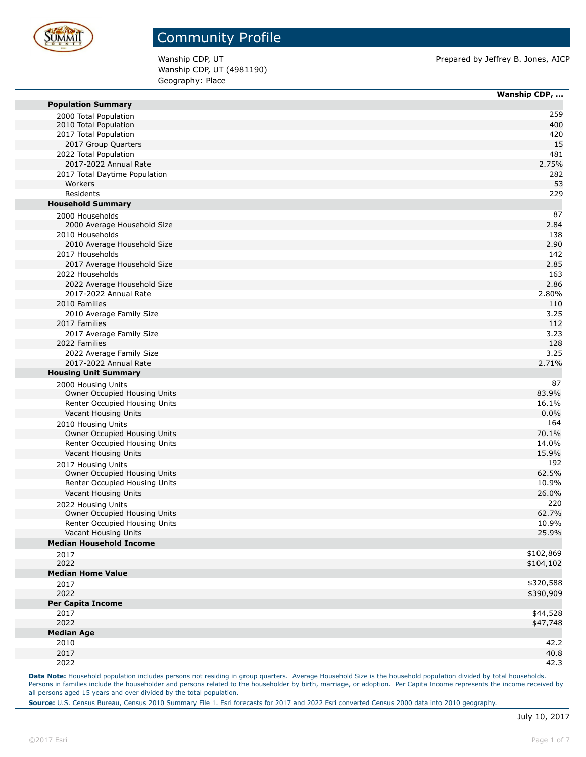

Wanship CDP, UT (4981190) Geography: Place

Wanship CDP, UT **Prepared by Jeffrey B. Jones, AICP** Prepared by Jeffrey B. Jones, AICP

|                                | Wanship CDP, |
|--------------------------------|--------------|
| <b>Population Summary</b>      |              |
| 2000 Total Population          | 259          |
| 2010 Total Population          | 400          |
| 2017 Total Population          | 420          |
| 2017 Group Quarters            | 15           |
| 2022 Total Population          | 481          |
| 2017-2022 Annual Rate          | 2.75%        |
| 2017 Total Daytime Population  | 282          |
| Workers                        | 53           |
| Residents                      | 229          |
| <b>Household Summary</b>       |              |
| 2000 Households                | 87           |
| 2000 Average Household Size    | 2.84         |
| 2010 Households                | 138          |
| 2010 Average Household Size    | 2.90         |
| 2017 Households                | 142          |
| 2017 Average Household Size    | 2.85         |
| 2022 Households                | 163          |
| 2022 Average Household Size    | 2.86         |
| 2017-2022 Annual Rate          | 2.80%        |
| 2010 Families                  | 110          |
| 2010 Average Family Size       | 3.25         |
| 2017 Families                  | 112          |
| 2017 Average Family Size       | 3.23         |
| 2022 Families                  | 128          |
| 2022 Average Family Size       | 3.25         |
| 2017-2022 Annual Rate          | 2.71%        |
| <b>Housing Unit Summary</b>    |              |
| 2000 Housing Units             | 87           |
| Owner Occupied Housing Units   | 83.9%        |
| Renter Occupied Housing Units  | 16.1%        |
| Vacant Housing Units           | 0.0%         |
| 2010 Housing Units             | 164          |
| Owner Occupied Housing Units   | 70.1%        |
| Renter Occupied Housing Units  | 14.0%        |
| Vacant Housing Units           | 15.9%        |
| 2017 Housing Units             | 192          |
| Owner Occupied Housing Units   | 62.5%        |
| Renter Occupied Housing Units  | 10.9%        |
| Vacant Housing Units           | 26.0%        |
| 2022 Housing Units             | 220          |
| Owner Occupied Housing Units   | 62.7%        |
| Renter Occupied Housing Units  | 10.9%        |
| Vacant Housing Units           | 25.9%        |
| <b>Median Household Income</b> |              |
| 2017                           | \$102,869    |
| 2022                           | \$104,102    |
| <b>Median Home Value</b>       |              |
| 2017                           | \$320,588    |
| 2022                           | \$390,909    |
| <b>Per Capita Income</b>       |              |
| 2017                           | \$44,528     |
| 2022                           | \$47,748     |
| <b>Median Age</b>              |              |
| 2010                           | 42.2         |
| 2017                           | 40.8         |
| 2022                           | 42.3         |

Data Note: Household population includes persons not residing in group quarters. Average Household Size is the household population divided by total households. Persons in families include the householder and persons related to the householder by birth, marriage, or adoption. Per Capita Income represents the income received by all persons aged 15 years and over divided by the total population.

**Source:** U.S. Census Bureau, Census 2010 Summary File 1. Esri forecasts for 2017 and 2022 Esri converted Census 2000 data into 2010 geography.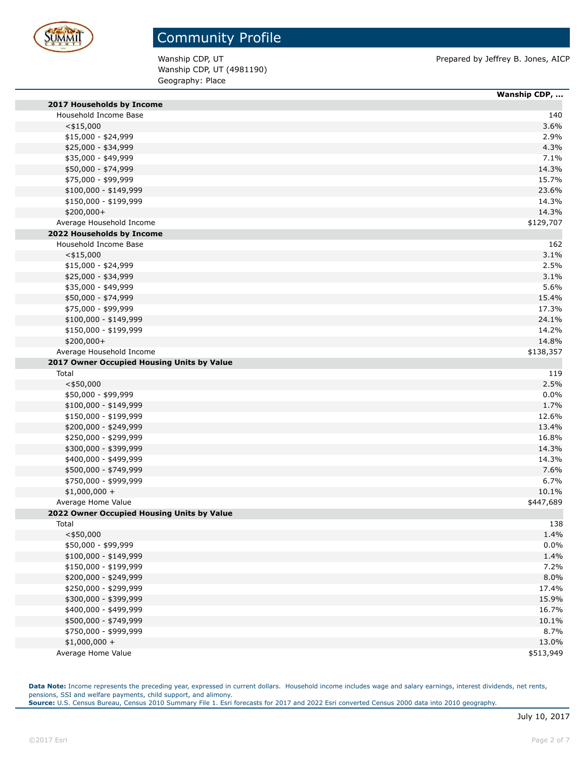

Wanship CDP, UT (4981190) Geography: Place

Wanship CDP, UT **Prepared by Jeffrey B. Jones, AICP** 

|                                            | Wanship CDP, |
|--------------------------------------------|--------------|
| 2017 Households by Income                  |              |
| Household Income Base                      | 140          |
| $<$ \$15,000                               | 3.6%         |
| \$15,000 - \$24,999                        | 2.9%         |
| \$25,000 - \$34,999                        | 4.3%         |
| \$35,000 - \$49,999                        | 7.1%         |
| \$50,000 - \$74,999                        | 14.3%        |
| \$75,000 - \$99,999                        | 15.7%        |
| \$100,000 - \$149,999                      | 23.6%        |
| \$150,000 - \$199,999                      | 14.3%        |
| $$200,000+$                                | 14.3%        |
| Average Household Income                   | \$129,707    |
| 2022 Households by Income                  |              |
| Household Income Base                      | 162          |
| $<$ \$15,000                               | 3.1%         |
| $$15,000 - $24,999$                        | 2.5%         |
| \$25,000 - \$34,999                        | 3.1%         |
| \$35,000 - \$49,999                        | 5.6%         |
| \$50,000 - \$74,999                        | 15.4%        |
| \$75,000 - \$99,999                        | 17.3%        |
| $$100,000 - $149,999$                      | 24.1%        |
| \$150,000 - \$199,999                      | 14.2%        |
| \$200,000+                                 | 14.8%        |
| Average Household Income                   | \$138,357    |
| 2017 Owner Occupied Housing Units by Value |              |
| Total                                      | 119          |
| $<$ \$50,000                               | 2.5%         |
| \$50,000 - \$99,999                        | 0.0%         |
| \$100,000 - \$149,999                      | 1.7%         |
| \$150,000 - \$199,999                      | 12.6%        |
| \$200,000 - \$249,999                      | 13.4%        |
| \$250,000 - \$299,999                      | 16.8%        |
| \$300,000 - \$399,999                      | 14.3%        |
| \$400,000 - \$499,999                      | 14.3%        |
| \$500,000 - \$749,999                      | 7.6%         |
| \$750,000 - \$999,999                      | 6.7%         |
| $$1,000,000 +$                             | 10.1%        |
| Average Home Value                         | \$447,689    |
| 2022 Owner Occupied Housing Units by Value |              |
| Total                                      | 138          |
| $<$ \$50,000                               | 1.4%         |
| \$50,000 - \$99,999                        | 0.0%         |
| \$100,000 - \$149,999                      | 1.4%         |
| \$150,000 - \$199,999                      | 7.2%         |
| \$200,000 - \$249,999                      | 8.0%         |
| \$250,000 - \$299,999                      | 17.4%        |
| \$300,000 - \$399,999                      | 15.9%        |
| \$400,000 - \$499,999                      | 16.7%        |
| \$500,000 - \$749,999                      | 10.1%        |
| \$750,000 - \$999,999                      | 8.7%         |
| $$1,000,000 +$                             | 13.0%        |
| Average Home Value                         | \$513,949    |
|                                            |              |

Data Note: Income represents the preceding year, expressed in current dollars. Household income includes wage and salary earnings, interest dividends, net rents, pensions, SSI and welfare payments, child support, and alimony. **Source:** U.S. Census Bureau, Census 2010 Summary File 1. Esri forecasts for 2017 and 2022 Esri converted Census 2000 data into 2010 geography.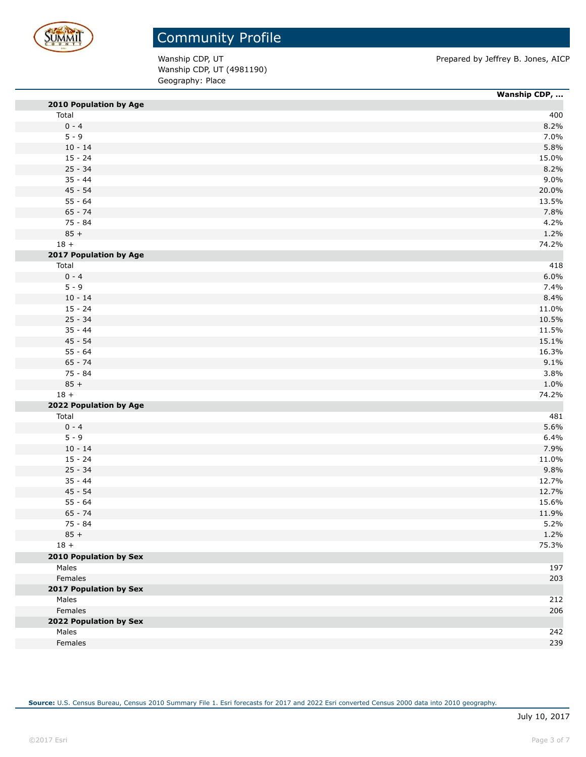

Wanship CDP, UT (4981190) Geography: Place

Wanship CDP, UT **Prepared by Jeffrey B. Jones, AICP** 

|                               | Wanship CDP, |
|-------------------------------|--------------|
| 2010 Population by Age        |              |
| Total                         | 400          |
| $0 - 4$                       | 8.2%         |
| $5 - 9$                       | 7.0%         |
| $10 - 14$                     | 5.8%         |
| $15 - 24$                     | 15.0%        |
| $25 - 34$                     | 8.2%         |
| $35 - 44$                     | 9.0%         |
| $45 - 54$                     | 20.0%        |
| $55 - 64$                     | 13.5%        |
| $65 - 74$                     | 7.8%         |
| 75 - 84                       | 4.2%         |
| $85 +$                        | 1.2%         |
| $18 +$                        | 74.2%        |
| 2017 Population by Age        |              |
| Total                         | 418          |
| $0 - 4$                       | 6.0%         |
| $5 - 9$                       | 7.4%         |
| $10 - 14$                     | 8.4%         |
| $15 - 24$                     | 11.0%        |
| $25 - 34$                     | 10.5%        |
| $35 - 44$                     | 11.5%        |
| $45 - 54$                     | 15.1%        |
| $55 - 64$                     | 16.3%        |
| $65 - 74$                     | 9.1%         |
| 75 - 84                       | 3.8%         |
| $85 +$                        | 1.0%         |
| $18 +$                        | 74.2%        |
| 2022 Population by Age        |              |
| Total                         | 481          |
| $0 - 4$                       | 5.6%         |
| $5 - 9$                       | 6.4%         |
| $10 - 14$                     | 7.9%         |
| $15 - 24$                     | 11.0%        |
| $25 - 34$                     | 9.8%         |
| $35 - 44$                     | 12.7%        |
| $45 - 54$                     | 12.7%        |
| $55 - 64$                     | 15.6%        |
| $65 - 74$                     | 11.9%        |
| 75 - 84                       | 5.2%         |
| $85 +$                        | 1.2%         |
| $18 +$                        | 75.3%        |
| <b>2010 Population by Sex</b> |              |
| Males                         | 197          |
| Females                       | 203          |
| 2017 Population by Sex        |              |
| Males                         | 212          |
| Females                       |              |
|                               | 206          |
| 2022 Population by Sex        |              |
| Males                         | 242          |
| Females                       | 239          |

**Source:** U.S. Census Bureau, Census 2010 Summary File 1. Esri forecasts for 2017 and 2022 Esri converted Census 2000 data into 2010 geography.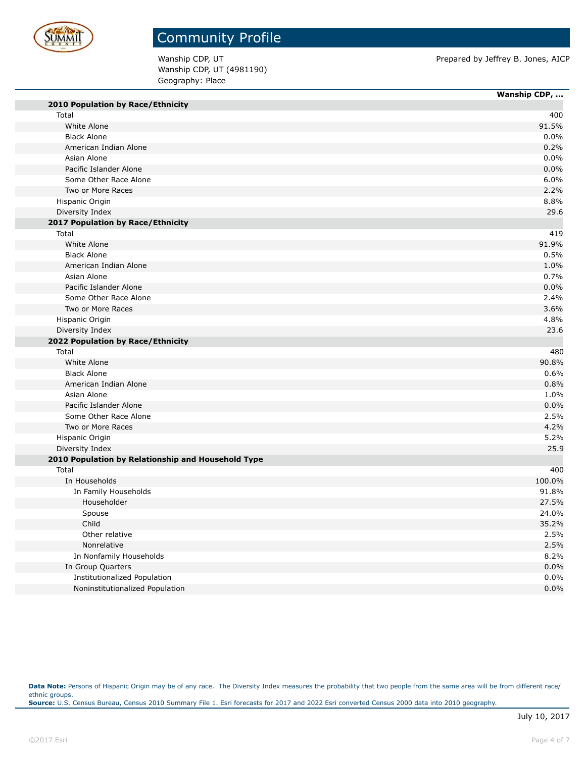

# Community Profile

Wanship CDP, UT (4981190) Geography: Place

Wanship CDP, UT **Prepared by Jeffrey B. Jones, AICP** 

L,

|                                                    | Wanship CDP, |
|----------------------------------------------------|--------------|
| 2010 Population by Race/Ethnicity                  |              |
| Total                                              | 400          |
| White Alone                                        | 91.5%        |
| <b>Black Alone</b>                                 | 0.0%         |
| American Indian Alone                              | 0.2%         |
| Asian Alone                                        | 0.0%         |
| Pacific Islander Alone                             | 0.0%         |
| Some Other Race Alone                              | 6.0%         |
| Two or More Races                                  | 2.2%         |
| Hispanic Origin                                    | 8.8%         |
| Diversity Index                                    | 29.6         |
| 2017 Population by Race/Ethnicity                  |              |
| Total                                              | 419          |
| White Alone                                        | 91.9%        |
| <b>Black Alone</b>                                 | 0.5%         |
| American Indian Alone                              | 1.0%         |
| Asian Alone                                        | 0.7%         |
| Pacific Islander Alone                             | 0.0%         |
| Some Other Race Alone                              | 2.4%         |
| Two or More Races                                  | 3.6%         |
| Hispanic Origin                                    | 4.8%         |
| Diversity Index                                    | 23.6         |
| 2022 Population by Race/Ethnicity                  |              |
| Total                                              | 480          |
| White Alone                                        | 90.8%        |
| <b>Black Alone</b>                                 | 0.6%         |
| American Indian Alone                              | 0.8%         |
| Asian Alone                                        | 1.0%         |
| Pacific Islander Alone                             | 0.0%         |
| Some Other Race Alone                              | 2.5%         |
| Two or More Races                                  | 4.2%         |
| Hispanic Origin                                    | 5.2%         |
| Diversity Index                                    | 25.9         |
| 2010 Population by Relationship and Household Type |              |
| Total                                              | 400          |
| In Households                                      | 100.0%       |
| In Family Households                               | 91.8%        |
| Householder                                        | 27.5%        |
| Spouse                                             | 24.0%        |
| Child                                              | 35.2%        |
| Other relative                                     | 2.5%         |
| Nonrelative                                        | 2.5%         |
| In Nonfamily Households                            | 8.2%         |
| In Group Quarters                                  | 0.0%         |
| Institutionalized Population                       | 0.0%         |
| Noninstitutionalized Population                    | 0.0%         |

Data Note: Persons of Hispanic Origin may be of any race. The Diversity Index measures the probability that two people from the same area will be from different race/ ethnic groups. **Source:** U.S. Census Bureau, Census 2010 Summary File 1. Esri forecasts for 2017 and 2022 Esri converted Census 2000 data into 2010 geography.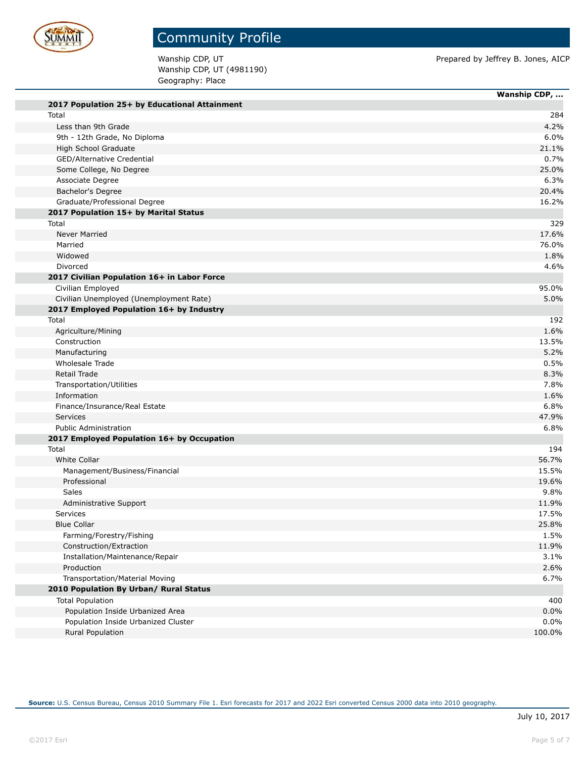

Wanship CDP, UT (4981190) Geography: Place

Wanship CDP, UT **Prepared by Jeffrey B. Jones, AICP** 

|                                               | Wanship CDP, |
|-----------------------------------------------|--------------|
| 2017 Population 25+ by Educational Attainment |              |
| Total                                         |              |
| Less than 9th Grade                           |              |
| 9th - 12th Grade, No Diploma                  |              |
| High School Graduate                          | 21.1%        |
| GED/Alternative Credential                    |              |
| Some College, No Degree                       | 25.0%        |
| Associate Degree                              |              |
| Bachelor's Degree                             | 20.4%        |
| Graduate/Professional Degree                  | 16.2%        |
| 2017 Population 15+ by Marital Status         |              |
| Total                                         |              |
| Never Married                                 | 17.6%        |
| Married                                       | 76.0%        |
| Widowed                                       |              |
| Divorced                                      |              |
| 2017 Civilian Population 16+ in Labor Force   |              |
| Civilian Employed                             | 95.0%        |
| Civilian Unemployed (Unemployment Rate)       |              |
| 2017 Employed Population 16+ by Industry      |              |
| Total                                         |              |
| Agriculture/Mining                            |              |
| Construction                                  | 13.5%        |
| Manufacturing                                 |              |
| Wholesale Trade                               |              |
| Retail Trade                                  |              |
| Transportation/Utilities                      |              |
| Information                                   |              |
| Finance/Insurance/Real Estate                 |              |
| <b>Services</b>                               | 47.9%        |
| <b>Public Administration</b>                  |              |
| 2017 Employed Population 16+ by Occupation    |              |
| Total                                         |              |
| <b>White Collar</b>                           | 56.7%        |
| Management/Business/Financial                 | 15.5%        |
| Professional                                  | 19.6%        |
| Sales                                         |              |
| Administrative Support                        | 11.9%        |
| Services                                      | 17.5%        |
| <b>Blue Collar</b>                            | 25.8%        |
| Farming/Forestry/Fishing                      |              |
| Construction/Extraction                       | 11.9%        |
| Installation/Maintenance/Repair               |              |
| Production                                    |              |
| Transportation/Material Moving                |              |
| 2010 Population By Urban/ Rural Status        |              |
| <b>Total Population</b>                       |              |
| Population Inside Urbanized Area              |              |
| Population Inside Urbanized Cluster           |              |
| Rural Population                              | 100.0%       |
|                                               |              |

**Source:** U.S. Census Bureau, Census 2010 Summary File 1. Esri forecasts for 2017 and 2022 Esri converted Census 2000 data into 2010 geography.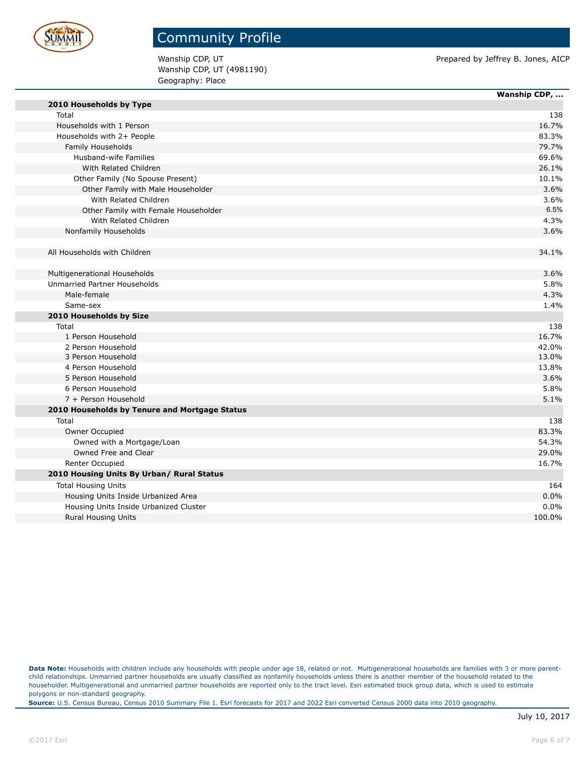

Wanship CDP, UT (4981190) Geography: Place

Wanship CDP, UT **Prepared by Jeffrey B. Jones, AICP** Prepared by Jeffrey B. Jones, AICP

|                                               | Wanship CDP, |
|-----------------------------------------------|--------------|
| 2010 Households by Type                       |              |
| Total                                         | 138          |
| Households with 1 Person                      | 16.7%        |
| Households with 2+ People                     | 83.3%        |
| Family Households                             | 79.7%        |
| Husband-wife Families                         | 69.6%        |
| With Related Children                         | 26.1%        |
| Other Family (No Spouse Present)              | 10.1%        |
| Other Family with Male Householder            | 3.6%         |
| With Related Children                         | 3.6%         |
| Other Family with Female Householder          | 6.5%         |
| With Related Children                         | 4.3%         |
| Nonfamily Households                          | 3.6%         |
|                                               |              |
| All Households with Children                  | 34.1%        |
|                                               |              |
| Multigenerational Households                  | 3.6%         |
| Unmarried Partner Households                  | 5.8%         |
| Male-female                                   | 4.3%         |
| Same-sex                                      | 1.4%         |
| 2010 Households by Size                       |              |
| Total                                         | 138          |
| 1 Person Household                            | 16.7%        |
| 2 Person Household                            | 42.0%        |
| 3 Person Household                            | 13.0%        |
| 4 Person Household                            | 13.8%        |
| 5 Person Household                            | 3.6%         |
| 6 Person Household                            | 5.8%         |
| 7 + Person Household                          | 5.1%         |
| 2010 Households by Tenure and Mortgage Status |              |
| Total                                         | 138          |
| Owner Occupied                                | 83.3%        |
| Owned with a Mortgage/Loan                    | 54.3%        |
| Owned Free and Clear                          | 29.0%        |
| Renter Occupied                               | 16.7%        |
| 2010 Housing Units By Urban/ Rural Status     |              |
| <b>Total Housing Units</b>                    | 164          |
| Housing Units Inside Urbanized Area           | 0.0%         |
| Housing Units Inside Urbanized Cluster        | 0.0%         |
| <b>Rural Housing Units</b>                    | 100.0%       |

Data Note: Households with children include any households with people under age 18, related or not. Multigenerational households are families with 3 or more parentchild relationships. Unmarried partner households are usually classified as nonfamily households unless there is another member of the household related to the householder. Multigenerational and unmarried partner households are reported only to the tract level. Esri estimated block group data, which is used to estimate polygons or non-standard geography.

**Source:** U.S. Census Bureau, Census 2010 Summary File 1. Esri forecasts for 2017 and 2022 Esri converted Census 2000 data into 2010 geography.